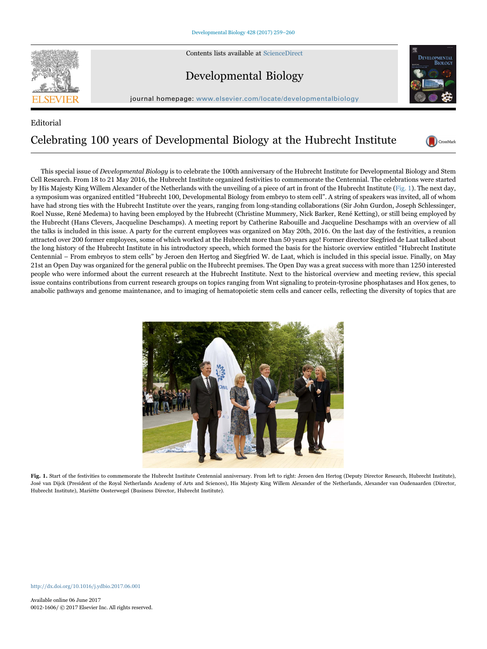

Contents lists available at [ScienceDirect](http://www.sciencedirect.com/science/journal/00121606)

## Developmental Biology



journal homepage: [www.elsevier.com/locate/developmentalbiology](http://www.elsevier.com/locate/developmentalbiology)

## Editorial Celebrating 100 years of Developmental Biology at the Hubrecht Institute



This special issue of *Developmental Biology* is to celebrate the 100th anniversary of the Hubrecht Institute for Developmental Biology and Stem Cell Research. From 18 to 21 May 2016, the Hubrecht Institute organized festivities to commemorate the Centennial. The celebrations were started by His Majesty King Willem Alexander of the Netherlands with the unveiling of a piece of art in front of the Hubrecht Institute ([Fig. 1\)](#page-0-0). The next day, a symposium was organized entitled "Hubrecht 100, Developmental Biology from embryo to stem cell". A string of speakers was invited, all of whom have had strong ties with the Hubrecht Institute over the years, ranging from long-standing collaborations (Sir John Gurdon, Joseph Schlessinger, Roel Nusse, René Medema) to having been employed by the Hubrecht (Christine Mummery, Nick Barker, René Ketting), or still being employed by the Hubrecht (Hans Clevers, Jacqueline Deschamps). A meeting report by Catherine Rabouille and Jacqueline Deschamps with an overview of all the talks is included in this issue. A party for the current employees was organized on May 20th, 2016. On the last day of the festivities, a reunion attracted over 200 former employees, some of which worked at the Hubrecht more than 50 years ago! Former director Siegfried de Laat talked about the long history of the Hubrecht Institute in his introductory speech, which formed the basis for the historic overview entitled "Hubrecht Institute Centennial – From embryos to stem cells" by Jeroen den Hertog and Siegfried W. de Laat, which is included in this special issue. Finally, on May 21st an Open Day was organized for the general public on the Hubrecht premises. The Open Day was a great success with more than 1250 interested people who were informed about the current research at the Hubrecht Institute. Next to the historical overview and meeting review, this special issue contains contributions from current research groups on topics ranging from Wnt signaling to protein-tyrosine phosphatases and Hox genes, to anabolic pathways and genome maintenance, and to imaging of hematopoietic stem cells and cancer cells, reflecting the diversity of topics that are

<span id="page-0-0"></span>

Fig. 1. Start of the festivities to commemorate the Hubrecht Institute Centennial anniversary. From left to right: Jeroen den Hertog (Deputy Director Research, Hubrecht Institute), José van Dijck (President of the Royal Netherlands Academy of Arts and Sciences), His Majesty King Willem Alexander of the Netherlands, Alexander van Oudenaarden (Director, Hubrecht Institute), Mariëtte Oosterwegel (Business Director, Hubrecht Institute).